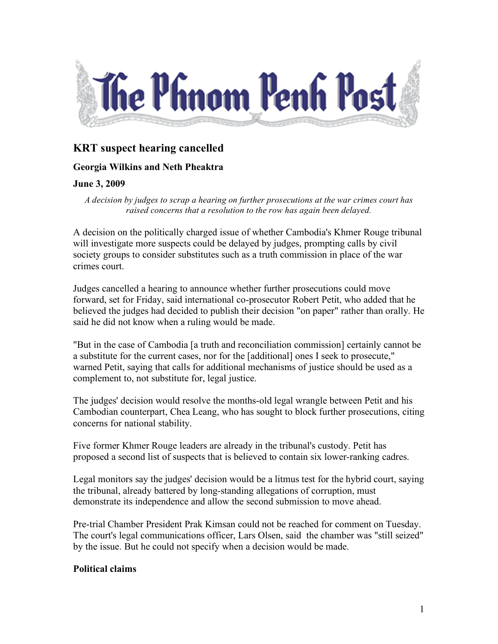

# **KRT suspect hearing cancelled**

## **Georgia Wilkins and Neth Pheaktra**

### **June 3, 2009**

*A decision by judges to scrap a hearing on further prosecutions at the war crimes court has raised concerns that a resolution to the row has again been delayed.*

A decision on the politically charged issue of whether Cambodia's Khmer Rouge tribunal will investigate more suspects could be delayed by judges, prompting calls by civil society groups to consider substitutes such as a truth commission in place of the war crimes court.

Judges cancelled a hearing to announce whether further prosecutions could move forward, set for Friday, said international co-prosecutor Robert Petit, who added that he believed the judges had decided to publish their decision "on paper" rather than orally. He said he did not know when a ruling would be made.

"But in the case of Cambodia [a truth and reconciliation commission] certainly cannot be a substitute for the current cases, nor for the [additional] ones I seek to prosecute," warned Petit, saying that calls for additional mechanisms of justice should be used as a complement to, not substitute for, legal justice.

The judges' decision would resolve the months-old legal wrangle between Petit and his Cambodian counterpart, Chea Leang, who has sought to block further prosecutions, citing concerns for national stability.

Five former Khmer Rouge leaders are already in the tribunal's custody. Petit has proposed a second list of suspects that is believed to contain six lower-ranking cadres.

Legal monitors say the judges' decision would be a litmus test for the hybrid court, saying the tribunal, already battered by long-standing allegations of corruption, must demonstrate its independence and allow the second submission to move ahead.

Pre-trial Chamber President Prak Kimsan could not be reached for comment on Tuesday. The court's legal communications officer, Lars Olsen, said the chamber was "still seized" by the issue. But he could not specify when a decision would be made.

### **Political claims**